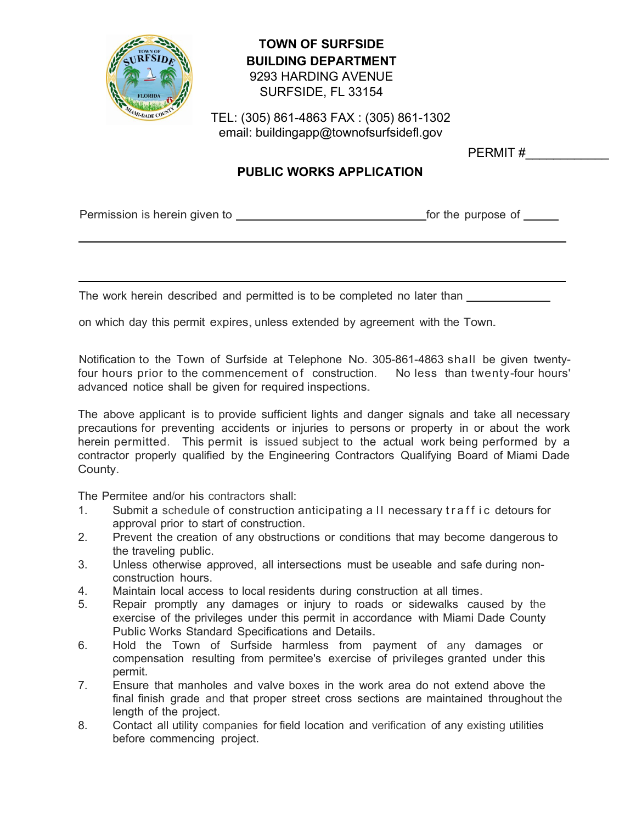

## **TOWN OF SURFSIDE BUILDING DEPARTMENT**  9293 HARDING AVENUE SURFSIDE, FL 33154

TEL: (305) 861-4863 FAX : (305) 861-1302 email: [buildingapp@townofsurfsidefl.gov](http://www.townofsurfsidefl.gov/)

PERMIT #

## **PUBLIC WORKS APPLICATION**

Permission is herein given to **Formission** is herein given to for the purpose of

The work herein described and permitted is to be completed no later than

on which day this permit expires, unless extended by agreement with the Town.

Notification to the Town of Surfside at Telephone No. 305-861-4863 shall be given twenty four hours prior to the commencement of construction. No less than twenty-four hours' advanced notice shall be given for required inspections.

The above applicant is to provide sufficient lights and danger signals and take all necessary precautions for preventing accidents or injuries to persons or property in or about the work herein permitted. This permit is issued subject to the actual work being performed by a contractor properly qualified by the Engineering Contractors Qualifying Board of Miami Dade County.

The Permitee and/or his contractors shall:

- 1. Submit a schedule of construction anticipating a II necessary traff ic detours for approval prior to start of construction.
- 2. Prevent the creation of any obstructions or conditions that may become dangerous to the traveling public.
- 3. Unless otherwise approved, all intersections must be useable and safe during nonconstruction hours.
- 4. Maintain local access to local residents during construction at all times.
- 5. Repair promptly any damages or injury to roads or sidewalks caused by the exercise of the privileges under this permit in accordance with Miami Dade County Public Works Standard Specifications and Details.
- 6. Hold the Town of Surfside harmless from payment of any damages or compensation resulting from permitee's exercise of privileges granted under this permit.
- 7. Ensure that manholes and valve boxes in the work area do not extend above the final finish grade and that proper street cross sections are maintained throughout the length of the project.
- 8. Contact all utility companies for field location and verification of any existing utilities before commencing project.